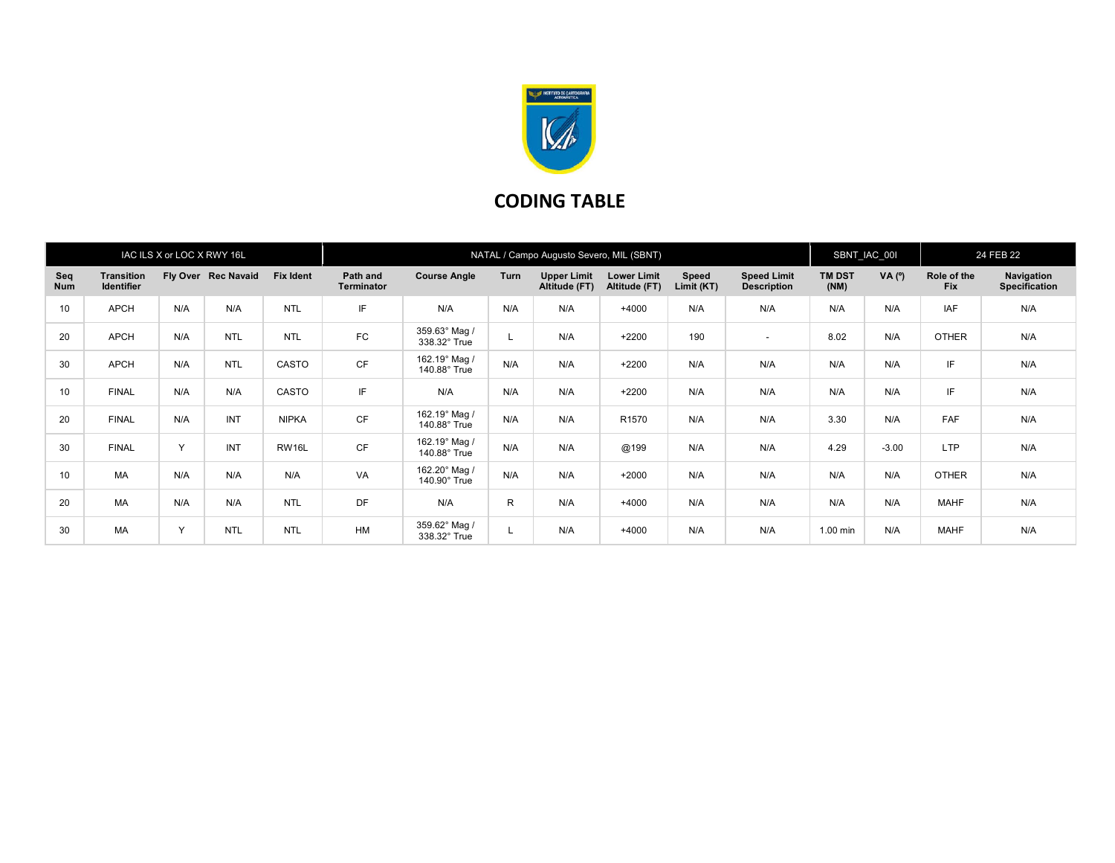

## CODING TABLE

| IAC ILS X or LOC X RWY 16L |                                        |     |                     |                  | NATAL / Campo Augusto Severo, MIL (SBNT) |                               |      |                                     |                                     |                     |                                          |                       | SBNT_IAC_00I   |                           | 24 FEB 22                                 |  |
|----------------------------|----------------------------------------|-----|---------------------|------------------|------------------------------------------|-------------------------------|------|-------------------------------------|-------------------------------------|---------------------|------------------------------------------|-----------------------|----------------|---------------------------|-------------------------------------------|--|
| Seq<br><b>Num</b>          | <b>Transition</b><br><b>Identifier</b> |     | Fly Over Rec Navaid | <b>Fix Ident</b> | Path and<br><b>Terminator</b>            | <b>Course Angle</b>           | Turn | <b>Upper Limit</b><br>Altitude (FT) | <b>Lower Limit</b><br>Altitude (FT) | Speed<br>Limit (KT) | <b>Speed Limit</b><br><b>Description</b> | <b>TM DST</b><br>(NM) | $VA(^{\circ})$ | Role of the<br><b>Fix</b> | <b>Navigation</b><br><b>Specification</b> |  |
| 10                         | <b>APCH</b>                            | N/A | N/A                 | <b>NTL</b>       | IF                                       | N/A                           | N/A  | N/A                                 | $+4000$                             | N/A                 | N/A                                      | N/A                   | N/A            | <b>IAF</b>                | N/A                                       |  |
| 20                         | <b>APCH</b>                            | N/A | <b>NTL</b>          | <b>NTL</b>       | FC                                       | 359.63° Mag /<br>338.32° True |      | N/A                                 | $+2200$                             | 190                 | $\sim$                                   | 8.02                  | N/A            | <b>OTHER</b>              | N/A                                       |  |
| 30                         | <b>APCH</b>                            | N/A | <b>NTL</b>          | CASTO            | <b>CF</b>                                | 162.19° Mag /<br>140.88° True | N/A  | N/A                                 | $+2200$                             | N/A                 | N/A                                      | N/A                   | N/A            | IF                        | N/A                                       |  |
| 10                         | <b>FINAL</b>                           | N/A | N/A                 | CASTO            | IF                                       | N/A                           | N/A  | N/A                                 | $+2200$                             | N/A                 | N/A                                      | N/A                   | N/A            | IF                        | N/A                                       |  |
| 20                         | <b>FINAL</b>                           | N/A | INT                 | <b>NIPKA</b>     | <b>CF</b>                                | 162.19° Mag /<br>140.88° True | N/A  | N/A                                 | R <sub>1570</sub>                   | N/A                 | N/A                                      | 3.30                  | N/A            | FAF                       | N/A                                       |  |
| 30                         | <b>FINAL</b>                           | Y   | INT                 | RW16L            | <b>CF</b>                                | 162.19° Mag /<br>140.88° True | N/A  | N/A                                 | @199                                | N/A                 | N/A                                      | 4.29                  | $-3.00$        | <b>LTP</b>                | N/A                                       |  |
| 10                         | MA                                     | N/A | N/A                 | N/A              | VA                                       | 162.20° Mag /<br>140.90° True | N/A  | N/A                                 | $+2000$                             | N/A                 | N/A                                      | N/A                   | N/A            | <b>OTHER</b>              | N/A                                       |  |
| 20                         | MA                                     | N/A | N/A                 | <b>NTL</b>       | DF                                       | N/A                           | R.   | N/A                                 | $+4000$                             | N/A                 | N/A                                      | N/A                   | N/A            | <b>MAHF</b>               | N/A                                       |  |
| 30                         | MA                                     | Y   | <b>NTL</b>          | <b>NTL</b>       | HM                                       | 359.62° Mag /<br>338.32° True |      | N/A                                 | $+4000$                             | N/A                 | N/A                                      | 1.00 min              | N/A            | <b>MAHF</b>               | N/A                                       |  |